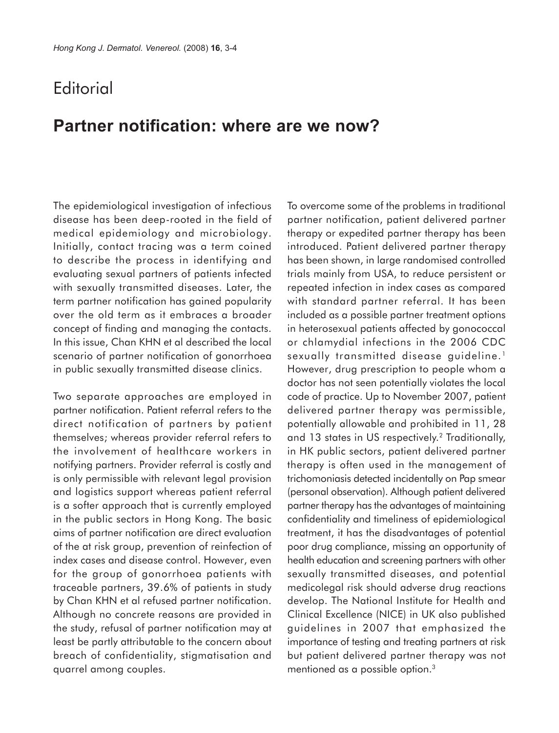## **Editorial**

## **Partner notification: where are we now?**

The epidemiological investigation of infectious disease has been deep-rooted in the field of medical epidemiology and microbiology. Initially, contact tracing was a term coined to describe the process in identifying and evaluating sexual partners of patients infected with sexually transmitted diseases. Later, the term partner notification has gained popularity over the old term as it embraces a broader concept of finding and managing the contacts. In this issue, Chan KHN et al described the local scenario of partner notification of gonorrhoea in public sexually transmitted disease clinics.

Two separate approaches are employed in partner notification. Patient referral refers to the direct notification of partners by patient themselves; whereas provider referral refers to the involvement of healthcare workers in notifying partners. Provider referral is costly and is only permissible with relevant legal provision and logistics support whereas patient referral is a softer approach that is currently employed in the public sectors in Hong Kong. The basic aims of partner notification are direct evaluation of the at risk group, prevention of reinfection of index cases and disease control. However, even for the group of gonorrhoea patients with traceable partners, 39.6% of patients in study by Chan KHN et al refused partner notification. Although no concrete reasons are provided in the study, refusal of partner notification may at least be partly attributable to the concern about breach of confidentiality, stigmatisation and quarrel among couples.

To overcome some of the problems in traditional partner notification, patient delivered partner therapy or expedited partner therapy has been introduced. Patient delivered partner therapy has been shown, in large randomised controlled trials mainly from USA, to reduce persistent or repeated infection in index cases as compared with standard partner referral. It has been included as a possible partner treatment options in heterosexual patients affected by gonococcal or chlamydial infections in the 2006 CDC sexually transmitted disease guideline.<sup>1</sup> However, drug prescription to people whom a doctor has not seen potentially violates the local code of practice. Up to November 2007, patient delivered partner therapy was permissible, potentially allowable and prohibited in 11, 28 and 13 states in US respectively.2 Traditionally, in HK public sectors, patient delivered partner therapy is often used in the management of trichomoniasis detected incidentally on Pap smear (personal observation). Although patient delivered partner therapy has the advantages of maintaining confidentiality and timeliness of epidemiological treatment, it has the disadvantages of potential poor drug compliance, missing an opportunity of health education and screening partners with other sexually transmitted diseases, and potential medicolegal risk should adverse drug reactions develop. The National Institute for Health and Clinical Excellence (NICE) in UK also published guidelines in 2007 that emphasized the importance of testing and treating partners at risk but patient delivered partner therapy was not mentioned as a possible option.<sup>3</sup>